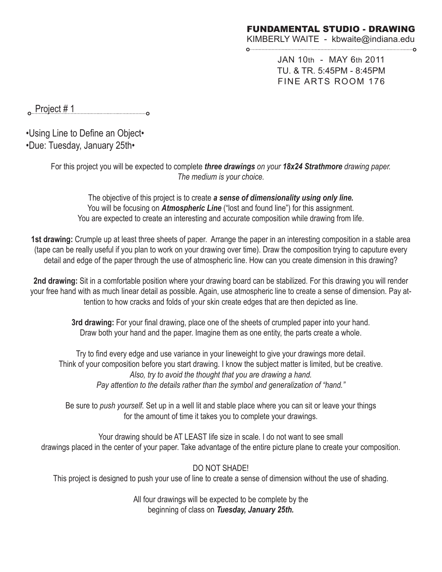KIMBERLY WAITE - kbwaite@indiana.edu 

> JAN 10th - MAY 6th 2011 TU. & TR. 5:45PM - 8:45PM FINE ARTS ROOM 176

Project # 1

•Using Line to Define an Object• •Due: Tuesday, January 25th•

> For this project you will be expected to complete *three drawings on your 18x24 Strathmore drawing paper. The medium is your choice.*

The objective of this project is to create *a sense of dimensionality using only line.* You will be focusing on **Atmospheric Line** ("lost and found line") for this assignment. You are expected to create an interesting and accurate composition while drawing from life.

**1st drawing:** Crumple up at least three sheets of paper. Arrange the paper in an interesting composition in a stable area (tape can be really useful if you plan to work on your drawing over time). Draw the composition trying to caputure every detail and edge of the paper through the use of atmospheric line. How can you create dimension in this drawing?

**2nd drawing:** Sit in a comfortable position where your drawing board can be stabilized. For this drawing you will render your free hand with as much linear detail as possible. Again, use atmospheric line to create a sense of dimension. Pay attention to how cracks and folds of your skin create edges that are then depicted as line.

> **3rd drawing:** For your final drawing, place one of the sheets of crumpled paper into your hand. Draw both your hand and the paper. Imagine them as one entity, the parts create a whole.

Try to find every edge and use variance in your lineweight to give your drawings more detail. Think of your composition before you start drawing. I know the subject matter is limited, but be creative. *Also, try to avoid the thought that you are drawing a hand. Pay attention to the details rather than the symbol and generalization of "hand."*

Be sure to *push yourself.* Set up in a well lit and stable place where you can sit or leave your things for the amount of time it takes you to complete your drawings.

Your drawing should be AT LEAST life size in scale. I do not want to see small drawings placed in the center of your paper. Take advantage of the entire picture plane to create your composition.

DO NOT SHADE!

This project is designed to push your use of line to create a sense of dimension without the use of shading.

All four drawings will be expected to be complete by the beginning of class on *Tuesday, January 25th.*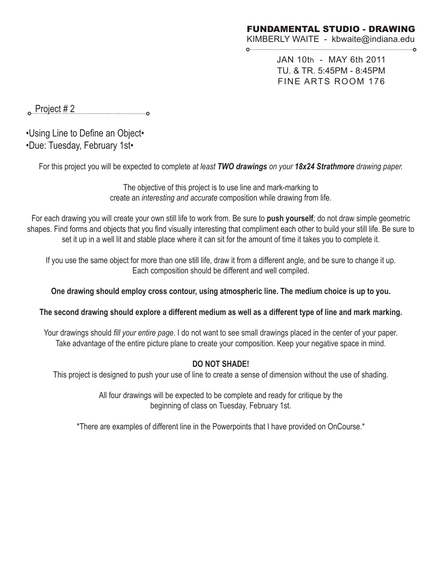KIMBERLY WAITE - kbwaite@indiana.edu 

> JAN 10th - MAY 6th 2011 TU. & TR. 5:45PM - 8:45PM FINE ARTS ROOM 176

**Project # 2** 

•Using Line to Define an Object• •Due: Tuesday, February 1st•

For this project you will be expected to complete *at least TWO drawings on your 18x24 Strathmore drawing paper.* 

The objective of this project is to use line and mark-marking to create an *interesting and accurate* composition while drawing from life.

For each drawing you will create your own still life to work from. Be sure to **push yourself***;* do not draw simple geometric shapes. Find forms and objects that you find visually interesting that compliment each other to build your still life. Be sure to set it up in a well lit and stable place where it can sit for the amount of time it takes you to complete it.

If you use the same object for more than one still life, draw it from a different angle, and be sure to change it up. Each composition should be different and well compiled.

**One drawing should employ cross contour, using atmospheric line. The medium choice is up to you.**

**The second drawing should explore a different medium as well as a different type of line and mark marking.** 

Your drawings should *fill your entire page*. I do not want to see small drawings placed in the center of your paper. Take advantage of the entire picture plane to create your composition. Keep your negative space in mind.

## **DO NOT SHADE!**

This project is designed to push your use of line to create a sense of dimension without the use of shading.

All four drawings will be expected to be complete and ready for critique by the beginning of class on Tuesday, February 1st.

\*There are examples of different line in the Powerpoints that I have provided on OnCourse.\*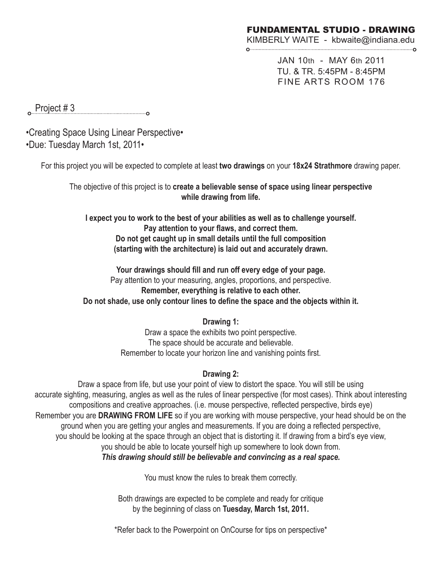KIMBERLY WAITE - kbwaite@indiana.edu

JAN 10th - MAY 6th 2011 TU. & TR. 5:45PM - 8:45PM FINE ARTS ROOM 176

 Project # 3 

•Creating Space Using Linear Perspective• •Due: Tuesday March 1st, 2011•

For this project you will be expected to complete at least **two drawings** on your **18x24 Strathmore** drawing paper.

The objective of this project is to **create a believable sense of space using linear perspective while drawing from life.**

**I expect you to work to the best of your abilities as well as to challenge yourself. Pay attention to your flaws, and correct them. Do not get caught up in small details until the full composition (starting with the architecture) is laid out and accurately drawn.** 

**Your drawings should fill and run off every edge of your page.**  Pay attention to your measuring, angles, proportions, and perspective. **Remember, everything is relative to each other. Do not shade, use only contour lines to define the space and the objects within it.**

#### **Drawing 1:**

Draw a space the exhibits two point perspective. The space should be accurate and believable. Remember to locate your horizon line and vanishing points first.

#### **Drawing 2:**

Draw a space from life, but use your point of view to distort the space. You will still be using accurate sighting, measuring, angles as well as the rules of linear perspective (for most cases). Think about interesting compositions and creative approaches. (i.e. mouse perspective, reflected perspective, birds eye) Remember you are **DRAWING FROM LIFE** so if you are working with mouse perspective, your head should be on the ground when you are getting your angles and measurements. If you are doing a reflected perspective, you should be looking at the space through an object that is distorting it. If drawing from a bird's eye view, you should be able to locate yourself high up somewhere to look down from. *This drawing should still be believable and convincing as a real space.* 

You must know the rules to break them correctly.

Both drawings are expected to be complete and ready for critique by the beginning of class on **Tuesday, March 1st, 2011.** 

\*Refer back to the Powerpoint on OnCourse for tips on perspective\*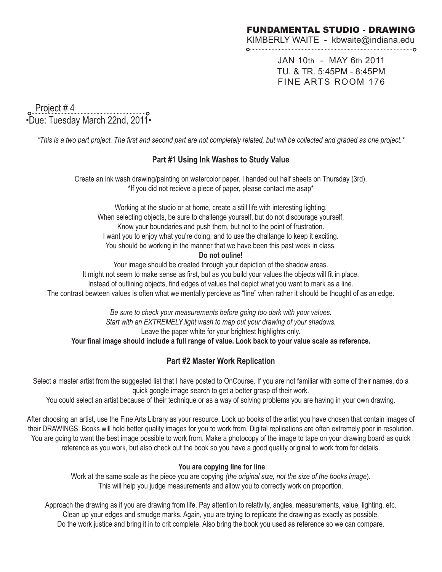KIMBERLY WAITE - kbwaite@indiana.edu

JAN 10th - MAY 6th 2011 TU. & TR. 5:45PM - 8:45PM FINE ARTS ROOM 176

 Project # 4 <u>。Project # 4 \_\_\_\_\_\_\_\_\_\_\_\_\_\_\_\_\_\_\_\_\_\_\_\_\_\_\_\_</u><br>•Due: Tuesday March 22nd, 2011•

*\*This is a two part project. The first and second part are not completely related, but will be collected and graded as one project.\**

### **Part #1 Using Ink Washes to Study Value**

Create an ink wash drawing/painting on watercolor paper. I handed out half sheets on Thursday (3rd). \*If you did not recieve a piece of paper, please contact me asap\*

Working at the studio or at home, create a still life with interesting lighting. When selecting objects, be sure to challenge yourself, but do not discourage yourself. Know your boundaries and push them, but not to the point of frustration. I want you to enjoy what you're doing, and to use the challange to keep it exciting. You should be working in the manner that we have been this past week in class.

**Do not ouline!** 

Your image should be created through your depiction of the shadow areas. It might not seem to make sense as first, but as you build your values the objects will fit in place. Instead of outlining objects, find edges of values that depict what you want to mark as a line. The contrast bewteen values is often what we mentally percieve as "line" when rather it should be thought of as an edge.

> *Be sure to check your measurements before going too dark with your values. Start with an EXTREMELY light wash to map out your drawing of your shadows.* Leave the paper white for your brightest highlights only.

**Your final image should include a full range of value. Look back to your value scale as reference.** 

### **Part #2 Master Work Replication**

Select a master artist from the suggested list that I have posted to OnCourse. If you are not familiar with some of their names, do a quick google image search to get a better grasp of their work.

You could select an artist because of their technique or as a way of solving problems you are having in your own drawing.

After choosing an artist, use the Fine Arts Library as your resource. Look up books of the artist you have chosen that contain images of their DRAWINGS. Books will hold better quality images for you to work from. Digital replications are often extremely poor in resolution. You are going to want the best image possible to work from. Make a photocopy of the image to tape on your drawing board as quick reference as you work, but also check out the book so you have a good quality original to work from for details.

#### **You are copying line for line**.

Work at the same scale as the piece you are copying *(the original size, not the size of the books image*). This will help you judge measurements and allow you to correctly work on proportion.

Approach the drawing as if you are drawing from life. Pay attention to relativity, angles, measurements, value, lighting, etc. Clean up your edges and smudge marks. Again, you are trying to replicate the drawing as exactly as possible. Do the work justice and bring it in to crit complete. Also bring the book you used as reference so we can compare.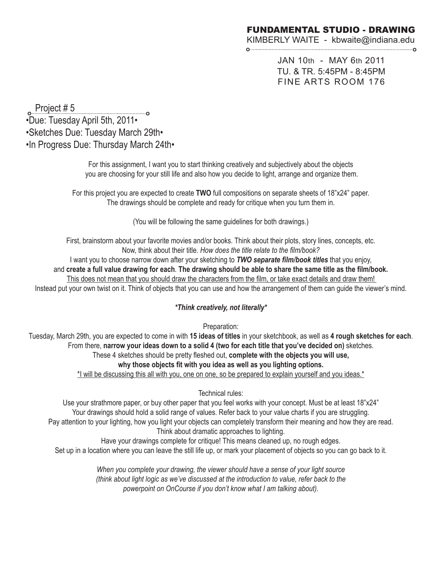KIMBERLY WAITE - kbwaite@indiana.edu 

> JAN 10th - MAY 6th 2011 TU. & TR. 5:45PM - 8:45PM FINE ARTS ROOM 176

 Project # 5 •Due: Tuesday April 5th, 2011• •Sketches Due: Tuesday March 29th• •In Progress Due: Thursday March 24th•

> For this assignment, I want you to start thinking creatively and subjectively about the objects you are choosing for your still life and also how you decide to light, arrange and organize them.

For this project you are expected to create **TWO** full compositions on separate sheets of 18"x24" paper. The drawings should be complete and ready for critique when you turn them in.

(You will be following the same guidelines for both drawings.)

First, brainstorm about your favorite movies and/or books. Think about their plots, story lines, concepts, etc. Now, think about their title. *How does the title relate to the film/book?* 

I want you to choose narrow down after your sketching to *TWO separate film/book titles* that you enjoy, and **create a full value drawing for each**. **The drawing should be able to share the same title as the film/book.** This does not mean that you should draw the characters from the film, or take exact details and draw them! Instead put your own twist on it. Think of objects that you can use and how the arrangement of them can guide the viewer's mind.

#### *\*Think creatively, not literally\**

Preparation:

Tuesday, March 29th, you are expected to come in with **15 ideas of titles** in your sketchbook, as well as **4 rough sketches for each**. From there, **narrow your ideas down to a solid 4 (two for each title that you've decided on)** sketches. These 4 sketches should be pretty fleshed out, **complete with the objects you will use, why those objects fit with you idea as well as you lighting options.** \*I will be discussing this all with you, one on one, so be prepared to explain yourself and you ideas.\*

Technical rules:

Use your strathmore paper, or buy other paper that you feel works with your concept. Must be at least 18"x24" Your drawings should hold a solid range of values. Refer back to your value charts if you are struggling. Pay attention to your lighting, how you light your objects can completely transform their meaning and how they are read. Think about dramatic approaches to lighting.

Have your drawings complete for critique! This means cleaned up, no rough edges. Set up in a location where you can leave the still life up, or mark your placement of objects so you can go back to it.

> *When you complete your drawing, the viewer should have a sense of your light source (think about light logic as we've discussed at the introduction to value, refer back to the powerpoint on OnCourse if you don't know what I am talking about).*